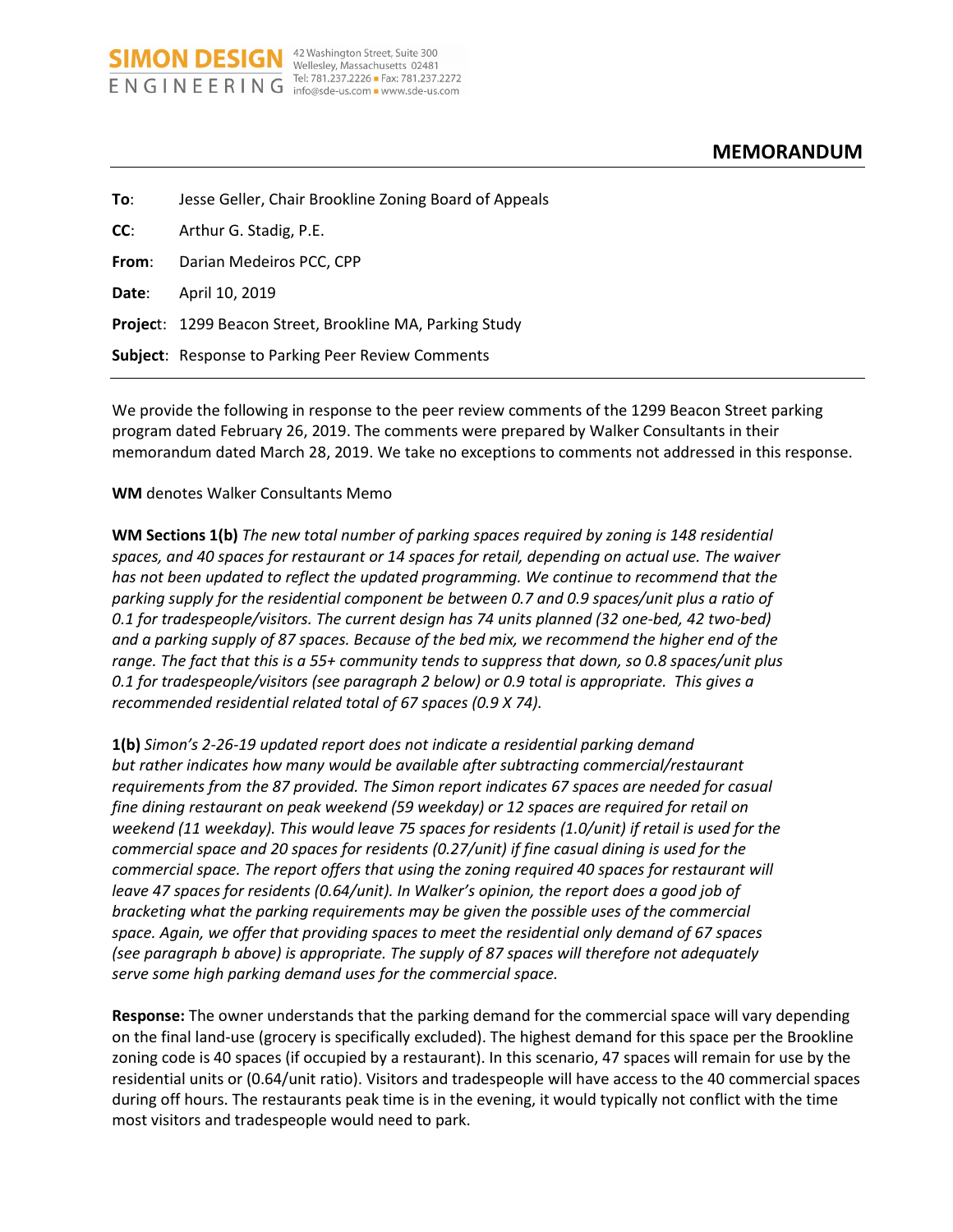| To:   | Jesse Geller, Chair Brookline Zoning Board of Appeals           |
|-------|-----------------------------------------------------------------|
| CC:   | Arthur G. Stadig, P.E.                                          |
| From: | Darian Medeiros PCC, CPP                                        |
| Date: | April 10, 2019                                                  |
|       | <b>Project: 1299 Beacon Street, Brookline MA, Parking Study</b> |
|       | <b>Subject:</b> Response to Parking Peer Review Comments        |
|       |                                                                 |

Tel: 781.237.2226 - Fax: 781.237.2272

**SIMON DESIGN** <sup>42 Washington Street, Suite 300</sup> ENGINEERING Tel: 781.237.2226 = Fax: 781.237.2272

We provide the following in response to the peer review comments of the 1299 Beacon Street parking program dated February 26, 2019. The comments were prepared by Walker Consultants in their memorandum dated March 28, 2019. We take no exceptions to comments not addressed in this response.

## **WM** denotes Walker Consultants Memo

**WM Sections 1(b)** *The new total number of parking spaces required by zoning is 148 residential spaces, and 40 spaces for restaurant or 14 spaces for retail, depending on actual use. The waiver has not been updated to reflect the updated programming. We continue to recommend that the parking supply for the residential component be between 0.7 and 0.9 spaces/unit plus a ratio of 0.1 for tradespeople/visitors. The current design has 74 units planned (32 one-bed, 42 two-bed) and a parking supply of 87 spaces. Because of the bed mix, we recommend the higher end of the range. The fact that this is a 55+ community tends to suppress that down, so 0.8 spaces/unit plus 0.1 for tradespeople/visitors (see paragraph 2 below) or 0.9 total is appropriate. This gives a recommended residential related total of 67 spaces (0.9 X 74).* 

**1(b)** *Simon's 2-26-19 updated report does not indicate a residential parking demand but rather indicates how many would be available after subtracting commercial/restaurant requirements from the 87 provided. The Simon report indicates 67 spaces are needed for casual fine dining restaurant on peak weekend (59 weekday) or 12 spaces are required for retail on weekend (11 weekday). This would leave 75 spaces for residents (1.0/unit) if retail is used for the commercial space and 20 spaces for residents (0.27/unit) if fine casual dining is used for the commercial space. The report offers that using the zoning required 40 spaces for restaurant will leave 47 spaces for residents (0.64/unit). In Walker's opinion, the report does a good job of bracketing what the parking requirements may be given the possible uses of the commercial space. Again, we offer that providing spaces to meet the residential only demand of 67 spaces (see paragraph b above) is appropriate. The supply of 87 spaces will therefore not adequately serve some high parking demand uses for the commercial space.* 

**Response:** The owner understands that the parking demand for the commercial space will vary depending on the final land-use (grocery is specifically excluded). The highest demand for this space per the Brookline zoning code is 40 spaces (if occupied by a restaurant). In this scenario, 47 spaces will remain for use by the residential units or (0.64/unit ratio). Visitors and tradespeople will have access to the 40 commercial spaces during off hours. The restaurants peak time is in the evening, it would typically not conflict with the time most visitors and tradespeople would need to park.